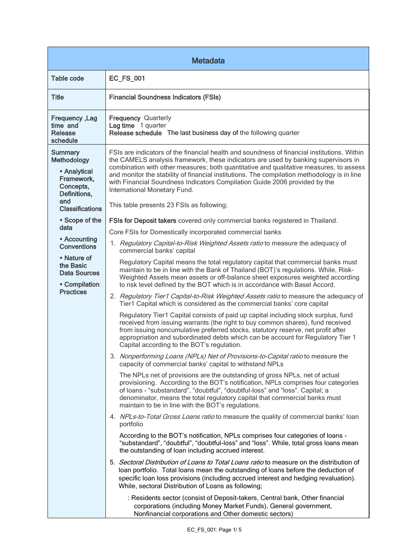| <b>Metadata</b>                                                                                                                  |                                                                                                                                                                                                                                                                                                                                                                                                                                                                                                                                       |  |
|----------------------------------------------------------------------------------------------------------------------------------|---------------------------------------------------------------------------------------------------------------------------------------------------------------------------------------------------------------------------------------------------------------------------------------------------------------------------------------------------------------------------------------------------------------------------------------------------------------------------------------------------------------------------------------|--|
| Table code                                                                                                                       | <b>EC_FS_001</b>                                                                                                                                                                                                                                                                                                                                                                                                                                                                                                                      |  |
| <b>Title</b>                                                                                                                     | <b>Financial Soundness Indicators (FSIs)</b>                                                                                                                                                                                                                                                                                                                                                                                                                                                                                          |  |
| <b>Frequency, Lag</b><br>time and<br><b>Release</b><br>schedule                                                                  | <b>Frequency Quarterly</b><br>Lag time 1 quarter<br>Release schedule The last business day of the following quarter                                                                                                                                                                                                                                                                                                                                                                                                                   |  |
| <b>Summary</b><br><b>Methodology</b><br>• Analytical<br>Framework.<br>Concepts,<br>Definitions,<br>and<br><b>Classifications</b> | FSIs are indicators of the financial health and soundness of financial institutions. Within<br>the CAMELS analysis framework, these indicators are used by banking supervisors in<br>combination with other measures; both quantitative and qualitative measures, to assess<br>and monitor the stability of financial institutions. The compilation methodology is in line<br>with Financial Soundness Indicators Compilation Guide 2006 provided by the<br>International Monetary Fund.<br>This table presents 23 FSIs as following; |  |
| • Scope of the                                                                                                                   | FSIs for Deposit takers covered only commercial banks registered in Thailand.                                                                                                                                                                                                                                                                                                                                                                                                                                                         |  |
| data                                                                                                                             | Core FSIs for Domestically incorporated commercial banks                                                                                                                                                                                                                                                                                                                                                                                                                                                                              |  |
| • Accounting<br><b>Conventions</b>                                                                                               | 1. Regulatory Capital-to-Risk Weighted Assets ratio to measure the adequacy of<br>commercial banks' capital                                                                                                                                                                                                                                                                                                                                                                                                                           |  |
| • Nature of<br>the Basic<br><b>Data Sources</b><br>• Compilation                                                                 | Regulatory Capital means the total regulatory capital that commercial banks must<br>maintain to be in line with the Bank of Thailand (BOT)'s regulations. While, Risk-<br>Weighted Assets mean assets or off-balance sheet exposures weighted according<br>to risk level defined by the BOT which is in accordance with Basel Accord.                                                                                                                                                                                                 |  |
| <b>Practices</b>                                                                                                                 | 2. Regulatory Tier1 Capital-to-Risk Weighted Assets ratio to measure the adequacy of<br>Tier1 Capital which is considered as the commercial banks' core capital                                                                                                                                                                                                                                                                                                                                                                       |  |
|                                                                                                                                  | Regulatory Tier1 Capital consists of paid up capital including stock surplus, fund<br>received from issuing warrants (the right to buy common shares), fund received<br>from issuing noncumulative preferred stocks, statutory reserve, net profit after<br>appropriation and subordinated debts which can be account for Regulatory Tier 1<br>Capital according to the BOT's regulation.                                                                                                                                             |  |
|                                                                                                                                  | 3. Nonperforming Loans (NPLs) Net of Provisions-to-Capital ratio to measure the<br>capacity of commercial banks' capital to withstand NPLs                                                                                                                                                                                                                                                                                                                                                                                            |  |
|                                                                                                                                  | The NPLs net of provisions are the outstanding of gross NPLs, net of actual<br>provisioning. According to the BOT's notification, NPLs comprises four categories<br>of loans - "substandard", "doubtful", "doubtful-loss" and "loss". Capital; a<br>denominator, means the total regulatory capital that commercial banks must<br>maintain to be in line with the BOT's regulations.                                                                                                                                                  |  |
|                                                                                                                                  | 4. NPLs-to-Total Gross Loans ratio to measure the quality of commercial banks' loan<br>portfolio                                                                                                                                                                                                                                                                                                                                                                                                                                      |  |
|                                                                                                                                  | According to the BOT's notification, NPLs comprises four categories of loans -<br>"substandard", "doubtful", "doubtful-loss" and "loss". While, total gross loans mean<br>the outstanding of loan including accrued interest.                                                                                                                                                                                                                                                                                                         |  |
|                                                                                                                                  | 5. Sectoral Distribution of Loans to Total Loans ratio to measure on the distribution of<br>loan portfolio. Total loans mean the outstanding of loans before the deduction of<br>specific loan loss provisions (including accrued interest and hedging revaluation).<br>While, sectoral Distribution of Loans as following;                                                                                                                                                                                                           |  |
|                                                                                                                                  | : Residents sector (consist of Deposit-takers, Central bank, Other financial<br>corporations (including Money Market Funds), General government,<br>Nonfinancial corporations and Other domestic sectors)                                                                                                                                                                                                                                                                                                                             |  |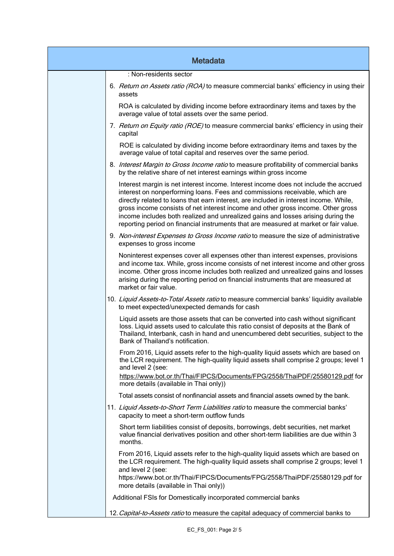| <b>Metadata</b> |                                                                                                                                                                                                                                                                                                                                                                                                                                                                                                                              |  |
|-----------------|------------------------------------------------------------------------------------------------------------------------------------------------------------------------------------------------------------------------------------------------------------------------------------------------------------------------------------------------------------------------------------------------------------------------------------------------------------------------------------------------------------------------------|--|
|                 | : Non-residents sector                                                                                                                                                                                                                                                                                                                                                                                                                                                                                                       |  |
|                 | 6. Return on Assets ratio (ROA) to measure commercial banks' efficiency in using their<br>assets                                                                                                                                                                                                                                                                                                                                                                                                                             |  |
|                 | ROA is calculated by dividing income before extraordinary items and taxes by the<br>average value of total assets over the same period.                                                                                                                                                                                                                                                                                                                                                                                      |  |
|                 | 7. Return on Equity ratio (ROE) to measure commercial banks' efficiency in using their<br>capital                                                                                                                                                                                                                                                                                                                                                                                                                            |  |
|                 | ROE is calculated by dividing income before extraordinary items and taxes by the<br>average value of total capital and reserves over the same period.                                                                                                                                                                                                                                                                                                                                                                        |  |
|                 | 8. Interest Margin to Gross Income ratio to measure profitability of commercial banks<br>by the relative share of net interest earnings within gross income                                                                                                                                                                                                                                                                                                                                                                  |  |
|                 | Interest margin is net interest income. Interest income does not include the accrued<br>interest on nonperforming loans. Fees and commissions receivable, which are<br>directly related to loans that earn interest, are included in interest income. While,<br>gross income consists of net interest income and other gross income. Other gross<br>income includes both realized and unrealized gains and losses arising during the<br>reporting period on financial instruments that are measured at market or fair value. |  |
|                 | 9. Non-interest Expenses to Gross Income ratio to measure the size of administrative<br>expenses to gross income                                                                                                                                                                                                                                                                                                                                                                                                             |  |
|                 | Noninterest expenses cover all expenses other than interest expenses, provisions<br>and income tax. While, gross income consists of net interest income and other gross<br>income. Other gross income includes both realized and unrealized gains and losses<br>arising during the reporting period on financial instruments that are measured at<br>market or fair value.                                                                                                                                                   |  |
|                 | 10. Liquid Assets-to-Total Assets ratio to measure commercial banks' liquidity available<br>to meet expected/unexpected demands for cash                                                                                                                                                                                                                                                                                                                                                                                     |  |
|                 | Liquid assets are those assets that can be converted into cash without significant<br>loss. Liquid assets used to calculate this ratio consist of deposits at the Bank of<br>Thailand, Interbank, cash in hand and unencumbered debt securities, subject to the<br>Bank of Thailand's notification.                                                                                                                                                                                                                          |  |
|                 | From 2016, Liquid assets refer to the high-quality liquid assets which are based on<br>the LCR requirement. The high-quality liquid assets shall comprise 2 groups; level 1<br>and level 2 (see:<br>https://www.bot.or.th/Thai/FIPCS/Documents/FPG/2558/ThaiPDF/25580129.pdf for<br>more details (available in Thai only))                                                                                                                                                                                                   |  |
|                 | Total assets consist of nonfinancial assets and financial assets owned by the bank.                                                                                                                                                                                                                                                                                                                                                                                                                                          |  |
|                 | 11. Liquid Assets-to-Short Term Liabilities ratio to measure the commercial banks'<br>capacity to meet a short-term outflow funds                                                                                                                                                                                                                                                                                                                                                                                            |  |
|                 | Short term liabilities consist of deposits, borrowings, debt securities, net market<br>value financial derivatives position and other short-term liabilities are due within 3<br>months.                                                                                                                                                                                                                                                                                                                                     |  |
|                 | From 2016, Liquid assets refer to the high-quality liquid assets which are based on<br>the LCR requirement. The high-quality liquid assets shall comprise 2 groups; level 1<br>and level 2 (see:<br>https://www.bot.or.th/Thai/FIPCS/Documents/FPG/2558/ThaiPDF/25580129.pdf for<br>more details (available in Thai only))                                                                                                                                                                                                   |  |
|                 | Additional FSIs for Domestically incorporated commercial banks                                                                                                                                                                                                                                                                                                                                                                                                                                                               |  |
|                 | 12. Capital-to-Assets ratio to measure the capital adequacy of commercial banks to                                                                                                                                                                                                                                                                                                                                                                                                                                           |  |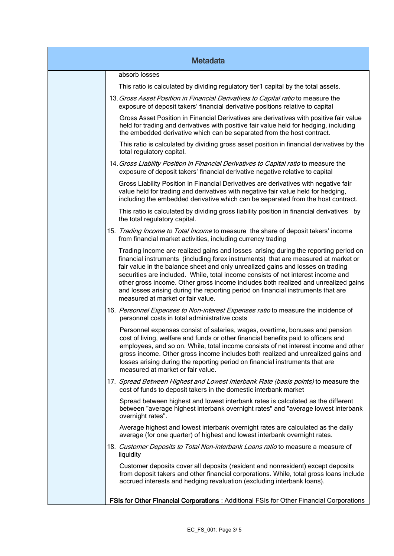| <b>Metadata</b> |                                                                                                                                                                                                                                                                                                                                                                                                                                                                                                                                                                 |  |
|-----------------|-----------------------------------------------------------------------------------------------------------------------------------------------------------------------------------------------------------------------------------------------------------------------------------------------------------------------------------------------------------------------------------------------------------------------------------------------------------------------------------------------------------------------------------------------------------------|--|
|                 | absorb losses                                                                                                                                                                                                                                                                                                                                                                                                                                                                                                                                                   |  |
|                 | This ratio is calculated by dividing regulatory tier1 capital by the total assets.                                                                                                                                                                                                                                                                                                                                                                                                                                                                              |  |
|                 | 13. Gross Asset Position in Financial Derivatives to Capital ratio to measure the<br>exposure of deposit takers' financial derivative positions relative to capital                                                                                                                                                                                                                                                                                                                                                                                             |  |
|                 | Gross Asset Position in Financial Derivatives are derivatives with positive fair value<br>held for trading and derivatives with positive fair value held for hedging, including<br>the embedded derivative which can be separated from the host contract.                                                                                                                                                                                                                                                                                                       |  |
|                 | This ratio is calculated by dividing gross asset position in financial derivatives by the<br>total regulatory capital.                                                                                                                                                                                                                                                                                                                                                                                                                                          |  |
|                 | 14. Gross Liability Position in Financial Derivatives to Capital ratio to measure the<br>exposure of deposit takers' financial derivative negative relative to capital                                                                                                                                                                                                                                                                                                                                                                                          |  |
|                 | Gross Liability Position in Financial Derivatives are derivatives with negative fair<br>value held for trading and derivatives with negative fair value held for hedging,<br>including the embedded derivative which can be separated from the host contract.                                                                                                                                                                                                                                                                                                   |  |
|                 | This ratio is calculated by dividing gross liability position in financial derivatives by<br>the total regulatory capital.                                                                                                                                                                                                                                                                                                                                                                                                                                      |  |
|                 | 15. Trading Income to Total Income to measure the share of deposit takers' income<br>from financial market activities, including currency trading                                                                                                                                                                                                                                                                                                                                                                                                               |  |
|                 | Trading Income are realized gains and losses arising during the reporting period on<br>financial instruments (including forex instruments) that are measured at market or<br>fair value in the balance sheet and only unrealized gains and losses on trading<br>securities are included. While, total income consists of net interest income and<br>other gross income. Other gross income includes both realized and unrealized gains<br>and losses arising during the reporting period on financial instruments that are<br>measured at market or fair value. |  |
|                 | 16. Personnel Expenses to Non-interest Expenses ratio to measure the incidence of<br>personnel costs in total administrative costs                                                                                                                                                                                                                                                                                                                                                                                                                              |  |
|                 | Personnel expenses consist of salaries, wages, overtime, bonuses and pension<br>cost of living, welfare and funds or other financial benefits paid to officers and<br>employees, and so on. While, total income consists of net interest income and other<br>gross income. Other gross income includes both realized and unrealized gains and<br>losses arising during the reporting period on financial instruments that are<br>measured at market or fair value.                                                                                              |  |
|                 | 17. Spread Between Highest and Lowest Interbank Rate (basis points) to measure the<br>cost of funds to deposit takers in the domestic interbank market                                                                                                                                                                                                                                                                                                                                                                                                          |  |
|                 | Spread between highest and lowest interbank rates is calculated as the different<br>between "average highest interbank overnight rates" and "average lowest interbank<br>overnight rates".                                                                                                                                                                                                                                                                                                                                                                      |  |
|                 | Average highest and lowest interbank overnight rates are calculated as the daily<br>average (for one quarter) of highest and lowest interbank overnight rates.                                                                                                                                                                                                                                                                                                                                                                                                  |  |
|                 | 18. Customer Deposits to Total Non-interbank Loans ratio to measure a measure of<br>liquidity                                                                                                                                                                                                                                                                                                                                                                                                                                                                   |  |
|                 | Customer deposits cover all deposits (resident and nonresident) except deposits<br>from deposit takers and other financial corporations. While, total gross loans include<br>accrued interests and hedging revaluation (excluding interbank loans).                                                                                                                                                                                                                                                                                                             |  |
|                 | FSIs for Other Financial Corporations : Additional FSIs for Other Financial Corporations                                                                                                                                                                                                                                                                                                                                                                                                                                                                        |  |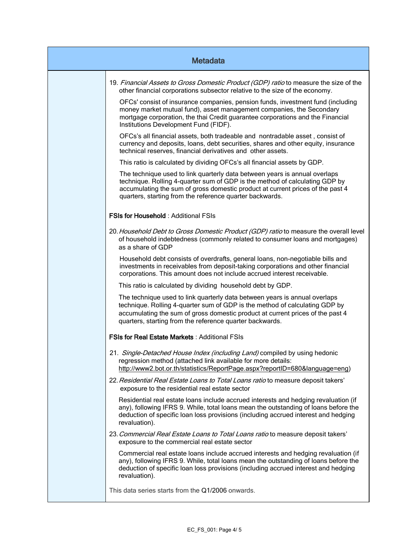| <b>Metadata</b> |                                                                                                                                                                                                                                                                                                         |  |
|-----------------|---------------------------------------------------------------------------------------------------------------------------------------------------------------------------------------------------------------------------------------------------------------------------------------------------------|--|
|                 | 19. Financial Assets to Gross Domestic Product (GDP) ratio to measure the size of the<br>other financial corporations subsector relative to the size of the economy.                                                                                                                                    |  |
|                 | OFCs' consist of insurance companies, pension funds, investment fund (including<br>money market mutual fund), asset management companies, the Secondary<br>mortgage corporation, the thai Credit guarantee corporations and the Financial<br>Institutions Development Fund (FIDF).                      |  |
|                 | OFCs's all financial assets, both tradeable and nontradable asset, consist of<br>currency and deposits, loans, debt securities, shares and other equity, insurance<br>technical reserves, financial derivatives and other assets.                                                                       |  |
|                 | This ratio is calculated by dividing OFCs's all financial assets by GDP.                                                                                                                                                                                                                                |  |
|                 | The technique used to link quarterly data between years is annual overlaps<br>technique. Rolling 4-quarter sum of GDP is the method of calculating GDP by<br>accumulating the sum of gross domestic product at current prices of the past 4<br>quarters, starting from the reference quarter backwards. |  |
|                 | <b>FSIs for Household: Additional FSIs</b>                                                                                                                                                                                                                                                              |  |
|                 | 20. Household Debt to Gross Domestic Product (GDP) ratio to measure the overall level<br>of household indebtedness (commonly related to consumer loans and mortgages)<br>as a share of GDP                                                                                                              |  |
|                 | Household debt consists of overdrafts, general loans, non-negotiable bills and<br>investments in receivables from deposit-taking corporations and other financial<br>corporations. This amount does not include accrued interest receivable.                                                            |  |
|                 | This ratio is calculated by dividing household debt by GDP.                                                                                                                                                                                                                                             |  |
|                 | The technique used to link quarterly data between years is annual overlaps<br>technique. Rolling 4-quarter sum of GDP is the method of calculating GDP by<br>accumulating the sum of gross domestic product at current prices of the past 4<br>quarters, starting from the reference quarter backwards. |  |
|                 | <b>FSIs for Real Estate Markets: Additional FSIs</b>                                                                                                                                                                                                                                                    |  |
|                 | 21. Single-Detached House Index (including Land) compiled by using hedonic<br>regression method (attached link available for more details:<br>http://www2.bot.or.th/statistics/ReportPage.aspx?reportID=680&language=eng)                                                                               |  |
|                 | 22. Residential Real Estate Loans to Total Loans ratio to measure deposit takers'<br>exposure to the residential real estate sector                                                                                                                                                                     |  |
|                 | Residential real estate loans include accrued interests and hedging revaluation (if<br>any), following IFRS 9. While, total loans mean the outstanding of loans before the<br>deduction of specific loan loss provisions (including accrued interest and hedging<br>revaluation).                       |  |
|                 | 23. Commercial Real Estate Loans to Total Loans ratio to measure deposit takers'<br>exposure to the commercial real estate sector                                                                                                                                                                       |  |
|                 | Commercial real estate loans include accrued interests and hedging revaluation (if<br>any), following IFRS 9. While, total loans mean the outstanding of loans before the<br>deduction of specific loan loss provisions (including accrued interest and hedging<br>revaluation).                        |  |
|                 | This data series starts from the Q1/2006 onwards.                                                                                                                                                                                                                                                       |  |